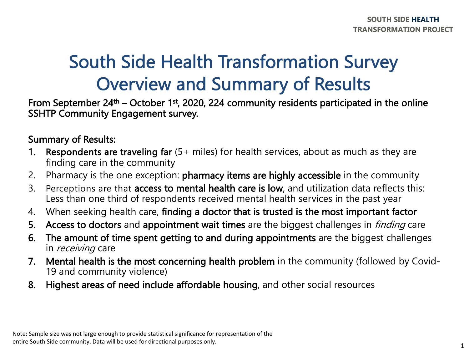### South Side Health Transformation Survey Overview and Summary of Results

From September 24<sup>th</sup> – October 1<sup>st</sup>, 2020, 224 community residents participated in the online SSHTP Community Engagement survey.

#### Summary of Results:

- 1. Respondents are traveling far (5+ miles) for health services, about as much as they are finding care in the community
- 2. Pharmacy is the one exception: pharmacy items are highly accessible in the community
- 3. Perceptions are that access to mental health care is low, and utilization data reflects this: Less than one third of respondents received mental health services in the past year
- 4. When seeking health care, finding a doctor that is trusted is the most important factor
- 5. Access to doctors and appointment wait times are the biggest challenges in *finding* care
- 6. The amount of time spent getting to and during appointments are the biggest challenges in *receiving* care
- 7. Mental health is the most concerning health problem in the community (followed by Covid-19 and community violence)
- 8. Highest areas of need include affordable housing, and other social resources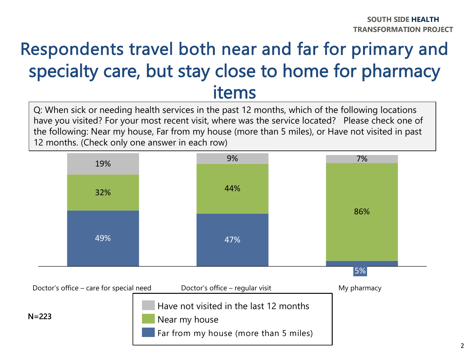## Respondents travel both near and far for primary and specialty care, but stay close to home for pharmacy items

Q: When sick or needing health services in the past 12 months, which of the following locations have you visited? For your most recent visit, where was the service located? Please check one of the following: Near my house, Far from my house (more than 5 miles), or Have not visited in past 12 months. (Check only one answer in each row)

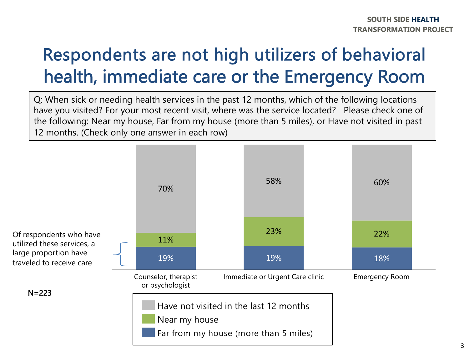## Respondents are not high utilizers of behavioral health, immediate care or the Emergency Room

Q: When sick or needing health services in the past 12 months, which of the following locations have you visited? For your most recent visit, where was the service located? Please check one of the following: Near my house, Far from my house (more than 5 miles), or Have not visited in past 12 months. (Check only one answer in each row)

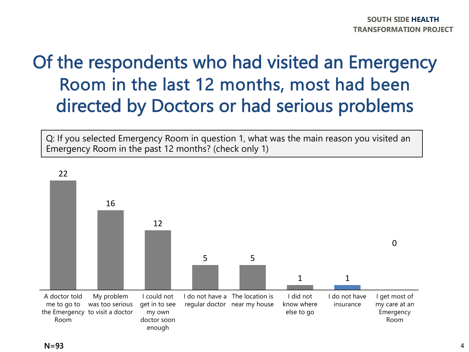## Of the respondents who had visited an Emergency Room in the last 12 months, most had been directed by Doctors or had serious problems

Q: If you selected Emergency Room in question 1, what was the main reason you visited an Emergency Room in the past 12 months? (check only 1)

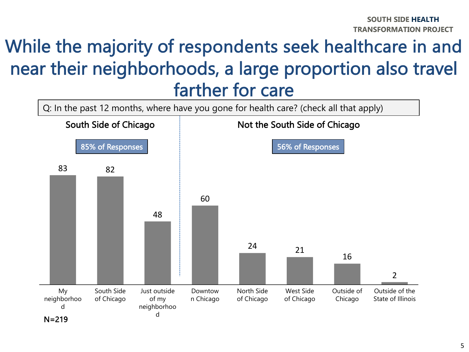#### While the majority of respondents seek healthcare in and near their neighborhoods, a large proportion also travel farther for care

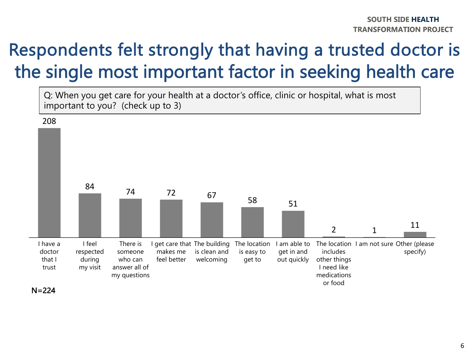## Respondents felt strongly that having a trusted doctor is the single most important factor in seeking health care

Q: When you get care for your health at a doctor's office, clinic or hospital, what is most important to you? (check up to 3)



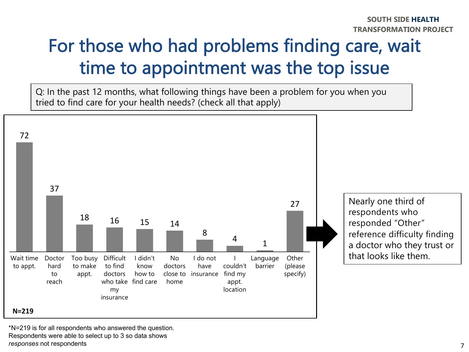# For those who had problems finding care, wait time to appointment was the top issue

Q: In the past 12 months, what following things have been a problem for you when you tried to find care for your health needs? (check all that apply)



\*N=219 is for all respondents who answered the question. Respondents were able to select up to 3 so data shows

*responses* not respondents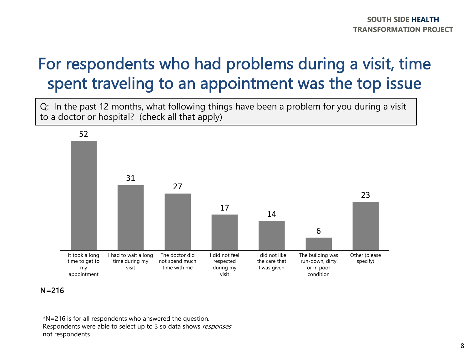#### For respondents who had problems during a visit, time spent traveling to an appointment was the top issue

Q: In the past 12 months, what following things have been a problem for you during a visit to a doctor or hospital? (check all that apply)



#### N=216

\*N=216 is for all respondents who answered the question. Respondents were able to select up to 3 so data shows responses not respondents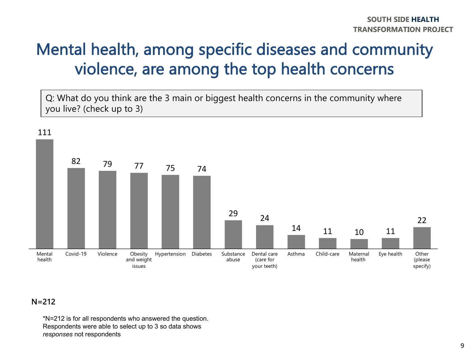#### Mental health, among specific diseases and community violence, are among the top health concerns

Q: What do you think are the 3 main or biggest health concerns in the community where you live? (check up to 3)



#### $N = 212$

\*N=212 is for all respondents who answered the question. Respondents were able to select up to 3 so data shows *responses* not respondents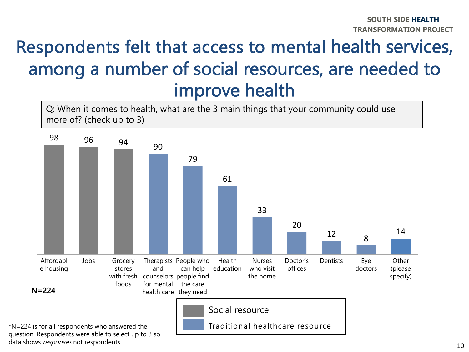## Respondents felt that access to mental health services, among a number of social resources, are needed to improve health

Q: When it comes to health, what are the 3 main things that your community could use more of? (check up to 3)



question. Respondents were able to select up to 3 so data shows responses not respondents